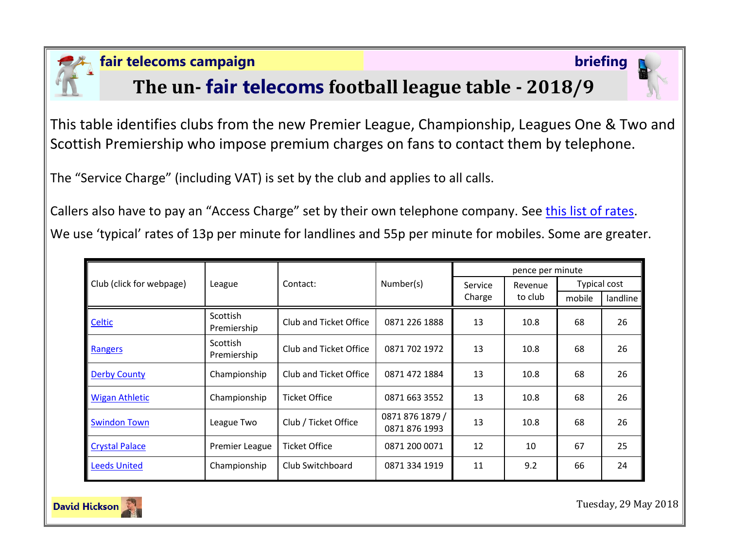

### **fair telecoms campaign briefing**

# **The un- fair telecoms football league table - 2018/9**



This table identifies clubs from the new Premier League, Championship, Leagues One & Two and Scottish Premiership who impose premium charges on fans to contact them by telephone.

The "Service Charge" (including VAT) is set by the club and applies to all calls.

Callers also have to pay an "Access Charge" set by their own telephone company. See [this list of rates.](http://www.saynoto0870.com/costofcalling.php) We use 'typical' rates of 13p per minute for landlines and 55p per minute for mobiles. Some are greater.

| Club (click for webpage) | League                         | Contact:               | Number(s)                        | pence per minute  |                    |              |          |
|--------------------------|--------------------------------|------------------------|----------------------------------|-------------------|--------------------|--------------|----------|
|                          |                                |                        |                                  | Service<br>Charge | Revenue<br>to club | Typical cost |          |
|                          |                                |                        |                                  |                   |                    | mobile       | landline |
| Celtic                   | Scottish<br>Premiership        | Club and Ticket Office | 0871 226 1888                    | 13                | 10.8               | 68           | 26       |
| Rangers                  | <b>Scottish</b><br>Premiership | Club and Ticket Office | 0871 702 1972                    | 13                | 10.8               | 68           | 26       |
| <b>Derby County</b>      | Championship                   | Club and Ticket Office | 0871 472 1884                    | 13                | 10.8               | 68           | 26       |
| <b>Wigan Athletic</b>    | Championship                   | <b>Ticket Office</b>   | 0871 663 3552                    | 13                | 10.8               | 68           | 26       |
| <b>Swindon Town</b>      | League Two                     | Club / Ticket Office   | 0871 876 1879 /<br>0871 876 1993 | 13                | 10.8               | 68           | 26       |
| <b>Crystal Palace</b>    | Premier League                 | <b>Ticket Office</b>   | 0871 200 0071                    | 12                | 10                 | 67           | 25       |
| <b>Leeds United</b>      | Championship                   | Club Switchboard       | 0871 334 1919                    | 11                | 9.2                | 66           | 24       |



Tuesday, 29 May 2018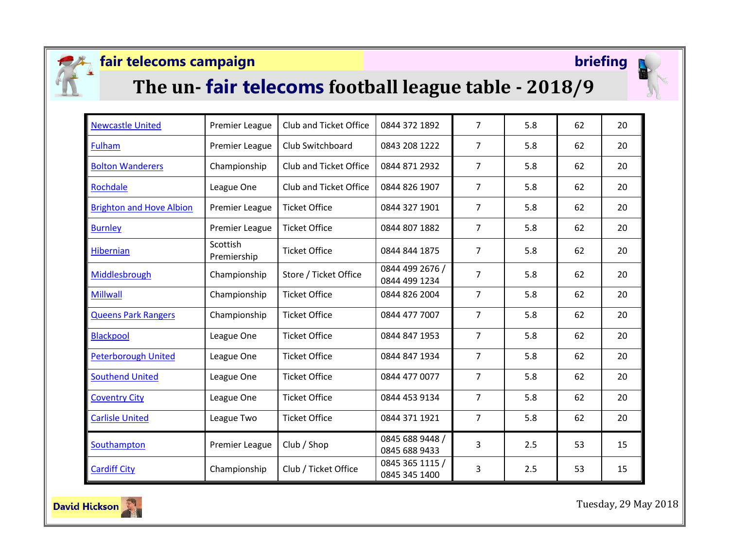

## **fair telecoms campaign briefing**



# **The un- fair telecoms football league table - 2018/9**



| <b>Newcastle United</b>         | <b>Premier League</b>   | <b>Club and Ticket Office</b> | 0844 372 1892                    | $\overline{7}$ | 5.8 | 62 | 20 |
|---------------------------------|-------------------------|-------------------------------|----------------------------------|----------------|-----|----|----|
| <b>Fulham</b>                   | Premier League          | Club Switchboard              | 0843 208 1222                    | $\overline{7}$ | 5.8 | 62 | 20 |
| <b>Bolton Wanderers</b>         | Championship            | Club and Ticket Office        | 0844 871 2932                    | $\overline{7}$ | 5.8 | 62 | 20 |
| Rochdale                        | League One              | Club and Ticket Office        | 0844 826 1907                    | $\overline{7}$ | 5.8 | 62 | 20 |
| <b>Brighton and Hove Albion</b> | Premier League          | <b>Ticket Office</b>          | 0844 327 1901                    | $\overline{7}$ | 5.8 | 62 | 20 |
| <b>Burnley</b>                  | Premier League          | <b>Ticket Office</b>          | 0844 807 1882                    | $\overline{7}$ | 5.8 | 62 | 20 |
| <b>Hibernian</b>                | Scottish<br>Premiership | <b>Ticket Office</b>          | 0844 844 1875                    | $\overline{7}$ | 5.8 | 62 | 20 |
| Middlesbrough                   | Championship            | Store / Ticket Office         | 0844 499 2676 /<br>0844 499 1234 | $\overline{7}$ | 5.8 | 62 | 20 |
| <b>Millwall</b>                 | Championship            | <b>Ticket Office</b>          | 0844 826 2004                    | $\overline{7}$ | 5.8 | 62 | 20 |
| <b>Queens Park Rangers</b>      | Championship            | <b>Ticket Office</b>          | 0844 477 7007                    | $\overline{7}$ | 5.8 | 62 | 20 |
| <b>Blackpool</b>                | League One              | <b>Ticket Office</b>          | 0844 847 1953                    | $\overline{7}$ | 5.8 | 62 | 20 |
| <b>Peterborough United</b>      | League One              | <b>Ticket Office</b>          | 0844 847 1934                    | $\overline{7}$ | 5.8 | 62 | 20 |
| <b>Southend United</b>          | League One              | <b>Ticket Office</b>          | 0844 477 0077                    | $\overline{7}$ | 5.8 | 62 | 20 |
| <b>Coventry City</b>            | League One              | <b>Ticket Office</b>          | 0844 453 9134                    | $\overline{7}$ | 5.8 | 62 | 20 |
| <b>Carlisle United</b>          | League Two              | <b>Ticket Office</b>          | 0844 371 1921                    | $\overline{7}$ | 5.8 | 62 | 20 |
| Southampton                     | Premier League          | Club / Shop                   | 0845 688 9448 /<br>0845 688 9433 | 3              | 2.5 | 53 | 15 |
| <b>Cardiff City</b>             | Championship            | Club / Ticket Office          | 0845 365 1115 /<br>0845 345 1400 | 3              | 2.5 | 53 | 15 |



Tuesday, 29 May 2018